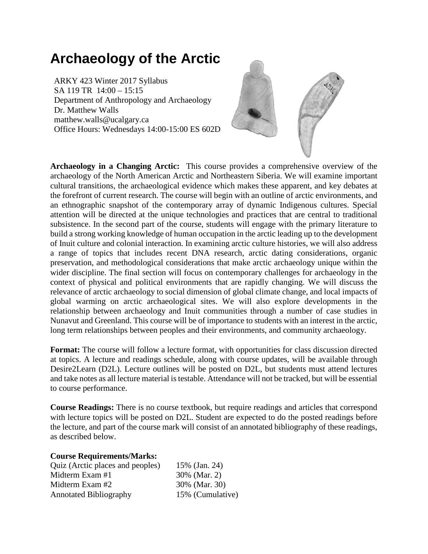# **Archaeology of the Arctic**

ARKY 423 Winter 2017 Syllabus SA 119 TR 14:00 – 15:15 Department of Anthropology and Archaeology Dr. Matthew Walls matthew.walls@ucalgary.ca Office Hours: Wednesdays 14:00-15:00 ES 602D



**Archaeology in a Changing Arctic:** This course provides a comprehensive overview of the archaeology of the North American Arctic and Northeastern Siberia. We will examine important cultural transitions, the archaeological evidence which makes these apparent, and key debates at the forefront of current research. The course will begin with an outline of arctic environments, and an ethnographic snapshot of the contemporary array of dynamic Indigenous cultures. Special attention will be directed at the unique technologies and practices that are central to traditional subsistence. In the second part of the course, students will engage with the primary literature to build a strong working knowledge of human occupation in the arctic leading up to the development of Inuit culture and colonial interaction. In examining arctic culture histories, we will also address a range of topics that includes recent DNA research, arctic dating considerations, organic preservation, and methodological considerations that make arctic archaeology unique within the wider discipline. The final section will focus on contemporary challenges for archaeology in the context of physical and political environments that are rapidly changing. We will discuss the relevance of arctic archaeology to social dimension of global climate change, and local impacts of global warming on arctic archaeological sites. We will also explore developments in the relationship between archaeology and Inuit communities through a number of case studies in Nunavut and Greenland. This course will be of importance to students with an interest in the arctic, long term relationships between peoples and their environments, and community archaeology.

**Format:** The course will follow a lecture format, with opportunities for class discussion directed at topics. A lecture and readings schedule, along with course updates, will be available through Desire2Learn (D2L). Lecture outlines will be posted on D2L, but students must attend lectures and take notes as all lecture material is testable. Attendance will not be tracked, but will be essential to course performance.

**Course Readings:** There is no course textbook, but require readings and articles that correspond with lecture topics will be posted on D2L. Student are expected to do the posted readings before the lecture, and part of the course mark will consist of an annotated bibliography of these readings, as described below.

## **Course Requirements/Marks:**

| Quiz (Arctic places and peoples) | 15% (Jan. 24)    |
|----------------------------------|------------------|
| Midterm Exam #1                  | 30% (Mar. 2)     |
| Midterm Exam #2                  | 30% (Mar. 30)    |
| <b>Annotated Bibliography</b>    | 15% (Cumulative) |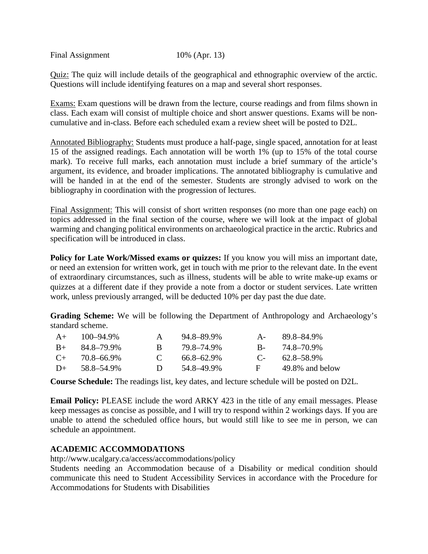Final Assignment 10% (Apr. 13)

Quiz: The quiz will include details of the geographical and ethnographic overview of the arctic. Questions will include identifying features on a map and several short responses.

Exams: Exam questions will be drawn from the lecture, course readings and from films shown in class. Each exam will consist of multiple choice and short answer questions. Exams will be noncumulative and in-class. Before each scheduled exam a review sheet will be posted to D2L.

Annotated Bibliography: Students must produce a half-page, single spaced, annotation for at least 15 of the assigned readings. Each annotation will be worth 1% (up to 15% of the total course mark). To receive full marks, each annotation must include a brief summary of the article's argument, its evidence, and broader implications. The annotated bibliography is cumulative and will be handed in at the end of the semester. Students are strongly advised to work on the bibliography in coordination with the progression of lectures.

Final Assignment: This will consist of short written responses (no more than one page each) on topics addressed in the final section of the course, where we will look at the impact of global warming and changing political environments on archaeological practice in the arctic. Rubrics and specification will be introduced in class.

**Policy for Late Work/Missed exams or quizzes:** If you know you will miss an important date, or need an extension for written work, get in touch with me prior to the relevant date. In the event of extraordinary circumstances, such as illness, students will be able to write make-up exams or quizzes at a different date if they provide a note from a doctor or student services. Late written work, unless previously arranged, will be deducted 10% per day past the due date.

**Grading Scheme:** We will be following the Department of Anthropology and Archaeology's standard scheme.

| $A+$  | 100-94.9%  | A             | 94.8–89.9%      | A-      | 89.8–84.9%      |
|-------|------------|---------------|-----------------|---------|-----------------|
| $B+$  | 84.8–79.9% | R.            | 79.8–74.9%      | $R_{-}$ | 74.8–70.9%      |
| $($ + | 70.8–66.9% | $\mathcal{C}$ | $66.8 - 62.9\%$ | $C_{-}$ | 62.8–58.9%      |
| $D+$  | 58.8–54.9% | $\mathbf{D}$  | 54.8–49.9%      | н.      | 49.8% and below |

**Course Schedule:** The readings list, key dates, and lecture schedule will be posted on D2L.

**Email Policy:** PLEASE include the word ARKY 423 in the title of any email messages. Please keep messages as concise as possible, and I will try to respond within 2 workings days. If you are unable to attend the scheduled office hours, but would still like to see me in person, we can schedule an appointment.

## **ACADEMIC ACCOMMODATIONS**

http://www.ucalgary.ca/access/accommodations/policy

Students needing an Accommodation because of a Disability or medical condition should communicate this need to Student Accessibility Services in accordance with the Procedure for Accommodations for Students with Disabilities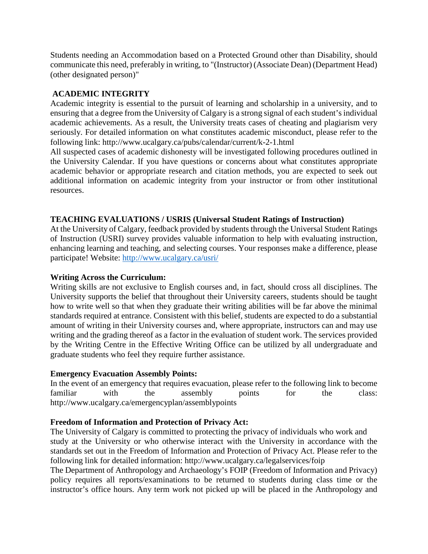Students needing an Accommodation based on a Protected Ground other than Disability, should communicate this need, preferably in writing, to "(Instructor) (Associate Dean) (Department Head) (other designated person)"

## **ACADEMIC INTEGRITY**

Academic integrity is essential to the pursuit of learning and scholarship in a university, and to ensuring that a degree from the University of Calgary is a strong signal of each student's individual academic achievements. As a result, the University treats cases of cheating and plagiarism very seriously. For detailed information on what constitutes academic misconduct, please refer to the following link: http://www.ucalgary.ca/pubs/calendar/current/k-2-1.html

All suspected cases of academic dishonesty will be investigated following procedures outlined in the University Calendar. If you have questions or concerns about what constitutes appropriate academic behavior or appropriate research and citation methods, you are expected to seek out additional information on academic integrity from your instructor or from other institutional resources.

## **TEACHING EVALUATIONS / USRIS (Universal Student Ratings of Instruction)**

At the University of Calgary, feedback provided by students through the Universal Student Ratings of Instruction (USRI) survey provides valuable information to help with evaluating instruction, enhancing learning and teaching, and selecting courses. Your responses make a difference, please participate! Website:<http://www.ucalgary.ca/usri/>

## **Writing Across the Curriculum:**

Writing skills are not exclusive to English courses and, in fact, should cross all disciplines. The University supports the belief that throughout their University careers, students should be taught how to write well so that when they graduate their writing abilities will be far above the minimal standards required at entrance. Consistent with this belief, students are expected to do a substantial amount of writing in their University courses and, where appropriate, instructors can and may use writing and the grading thereof as a factor in the evaluation of student work. The services provided by the Writing Centre in the Effective Writing Office can be utilized by all undergraduate and graduate students who feel they require further assistance.

## **Emergency Evacuation Assembly Points:**

In the event of an emergency that requires evacuation, please refer to the following link to become familiar with the assembly points for the class: http://www.ucalgary.ca/emergencyplan/assemblypoints

## **Freedom of Information and Protection of Privacy Act:**

The University of Calgary is committed to protecting the privacy of individuals who work and study at the University or who otherwise interact with the University in accordance with the standards set out in the Freedom of Information and Protection of Privacy Act. Please refer to the following link for detailed information: http://www.ucalgary.ca/legalservices/foip

The Department of Anthropology and Archaeology's FOIP (Freedom of Information and Privacy) policy requires all reports/examinations to be returned to students during class time or the instructor's office hours. Any term work not picked up will be placed in the Anthropology and